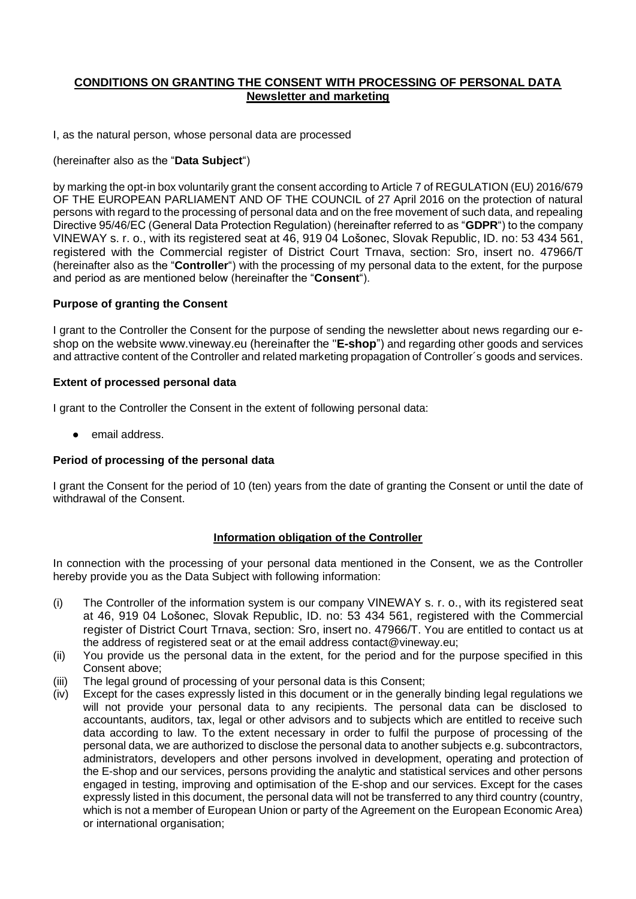# **CONDITIONS ON GRANTING THE CONSENT WITH PROCESSING OF PERSONAL DATA Newsletter and marketing**

I, as the natural person, whose personal data are processed

### (hereinafter also as the "**Data Subject**")

by marking the opt-in box voluntarily grant the consent according to Article 7 of REGULATION (EU) 2016/679 OF THE EUROPEAN PARLIAMENT AND OF THE COUNCIL of 27 April 2016 on the protection of natural persons with regard to the processing of personal data and on the free movement of such data, and repealing Directive 95/46/EC (General Data Protection Regulation) (hereinafter referred to as "**GDPR**") to the company VINEWAY s. r. o., with its registered seat at 46, 919 04 Lošonec, Slovak Republic, ID. no: 53 434 561, registered with the Commercial register of District Court Trnava, section: Sro, insert no. 47966/T (hereinafter also as the "**Controller**") with the processing of my personal data to the extent, for the purpose and period as are mentioned below (hereinafter the "**Consent**").

## **Purpose of granting the Consent**

I grant to the Controller the Consent for the purpose of sending the newsletter about news regarding our eshop on the website www.vineway.eu (hereinafter the "**E-shop**") and regarding other goods and services and attractive content of the Controller and related marketing propagation of Controller´s goods and services.

## **Extent of processed personal data**

I grant to the Controller the Consent in the extent of following personal data:

email address.

### **Period of processing of the personal data**

I grant the Consent for the period of 10 (ten) years from the date of granting the Consent or until the date of withdrawal of the Consent.

# **Information obligation of the Controller**

In connection with the processing of your personal data mentioned in the Consent, we as the Controller hereby provide you as the Data Subject with following information:

- (i) The Controller of the information system is our company VINEWAY s. r. o., with its registered seat at 46, 919 04 Lošonec, Slovak Republic, ID. no: 53 434 561, registered with the Commercial register of District Court Trnava, section: Sro, insert no. 47966/T. You are entitled to contact us at the address of registered seat or at the email address contact@vineway.eu;
- (ii) You provide us the personal data in the extent, for the period and for the purpose specified in this Consent above;
- (iii) The legal ground of processing of your personal data is this Consent;
- (iv) Except for the cases expressly listed in this document or in the generally binding legal regulations we will not provide your personal data to any recipients. The personal data can be disclosed to accountants, auditors, tax, legal or other advisors and to subjects which are entitled to receive such data according to law. To the extent necessary in order to fulfil the purpose of processing of the personal data, we are authorized to disclose the personal data to another subjects e.g. subcontractors, administrators, developers and other persons involved in development, operating and protection of the E-shop and our services, persons providing the analytic and statistical services and other persons engaged in testing, improving and optimisation of the E-shop and our services. Except for the cases expressly listed in this document, the personal data will not be transferred to any third country (country, which is not a member of European Union or party of the Agreement on the European Economic Area) or international organisation;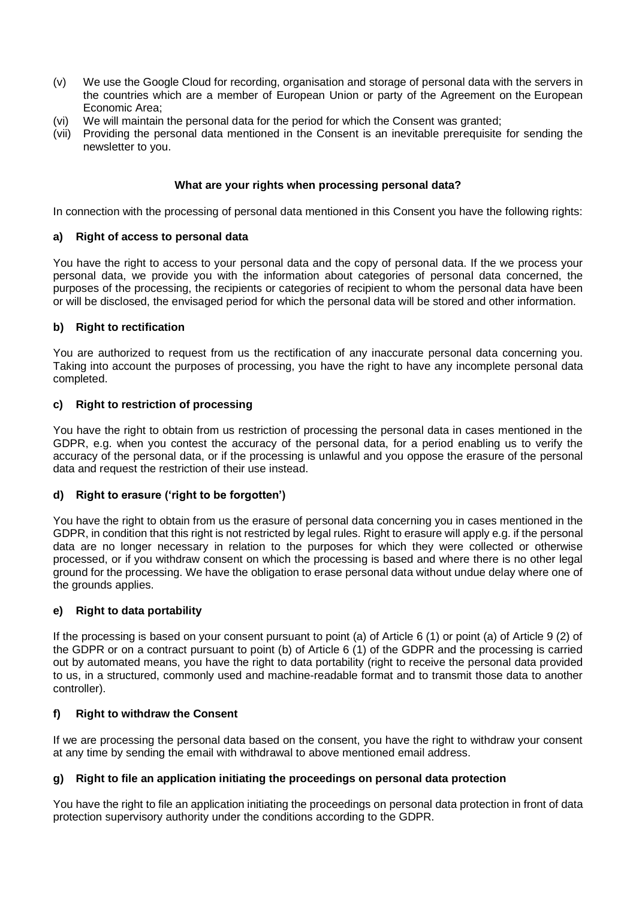- (v) We use the Google Cloud for recording, organisation and storage of personal data with the servers in the countries which are a member of European Union or party of the Agreement on the European Economic Area;
- (vi) We will maintain the personal data for the period for which the Consent was granted;
- (vii) Providing the personal data mentioned in the Consent is an inevitable prerequisite for sending the newsletter to you.

### **What are your rights when processing personal data?**

In connection with the processing of personal data mentioned in this Consent you have the following rights:

### **a) Right of access to personal data**

You have the right to access to your personal data and the copy of personal data. If the we process your personal data, we provide you with the information about categories of personal data concerned, the purposes of the processing, the recipients or categories of recipient to whom the personal data have been or will be disclosed, the envisaged period for which the personal data will be stored and other information.

## **b) Right to rectification**

You are authorized to request from us the rectification of any inaccurate personal data concerning you. Taking into account the purposes of processing, you have the right to have any incomplete personal data completed.

## **c) Right to restriction of processing**

You have the right to obtain from us restriction of processing the personal data in cases mentioned in the GDPR, e.g. when you contest the accuracy of the personal data, for a period enabling us to verify the accuracy of the personal data, or if the processing is unlawful and you oppose the erasure of the personal data and request the restriction of their use instead.

### **d) Right to erasure ('right to be forgotten')**

You have the right to obtain from us the erasure of personal data concerning you in cases mentioned in the GDPR, in condition that this right is not restricted by legal rules. Right to erasure will apply e.g. if the personal data are no longer necessary in relation to the purposes for which they were collected or otherwise processed, or if you withdraw consent on which the processing is based and where there is no other legal ground for the processing. We have the obligation to erase personal data without undue delay where one of the grounds applies.

### **e) Right to data portability**

If the processing is based on your consent pursuant to point (a) of Article 6 (1) or point (a) of Article 9 (2) of the GDPR or on a contract pursuant to point (b) of Article 6 (1) of the GDPR and the processing is carried out by automated means, you have the right to data portability (right to receive the personal data provided to us, in a structured, commonly used and machine-readable format and to transmit those data to another controller).

# **f) Right to withdraw the Consent**

If we are processing the personal data based on the consent, you have the right to withdraw your consent at any time by sending the email with withdrawal to above mentioned email address.

# **g) Right to file an application initiating the proceedings on personal data protection**

You have the right to file an application initiating the proceedings on personal data protection in front of data protection supervisory authority under the conditions according to the GDPR.